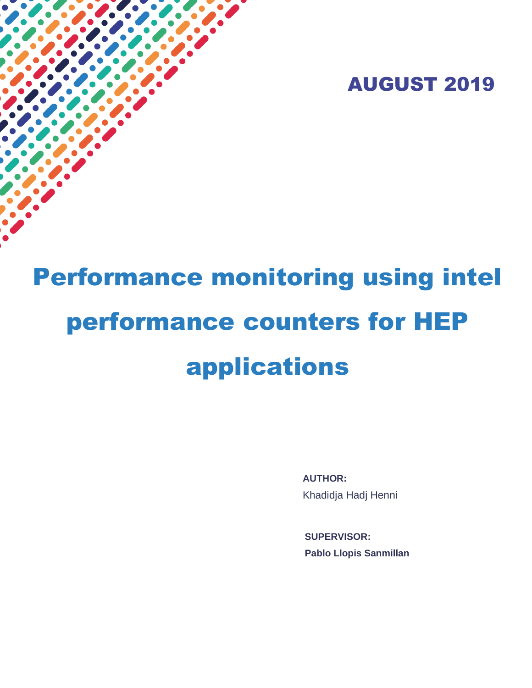

# Performance monitoring using intel performance counters for HEP applications

í

**AUTHOR:** Khadidja Hadj Henni

**SUPERVISOR: Pablo Llopis Sanmillan**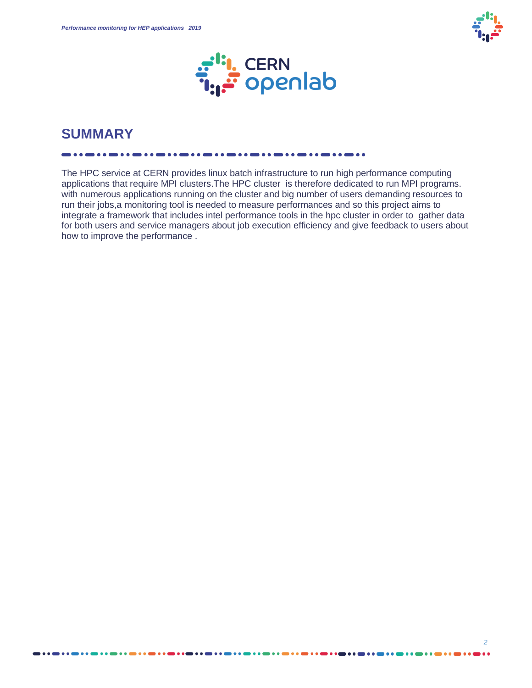



# **SUMMARY**

The HPC service at CERN provides linux batch infrastructure to run high performance computing applications that require MPI clusters.The HPC cluster is therefore dedicated to run MPI programs. with numerous applications running on the cluster and big number of users demanding resources to run their jobs,a monitoring tool is needed to measure performances and so this project aims to integrate a framework that includes intel performance tools in the hpc cluster in order to gather data for both users and service managers about job execution efficiency and give feedback to users about how to improve the performance .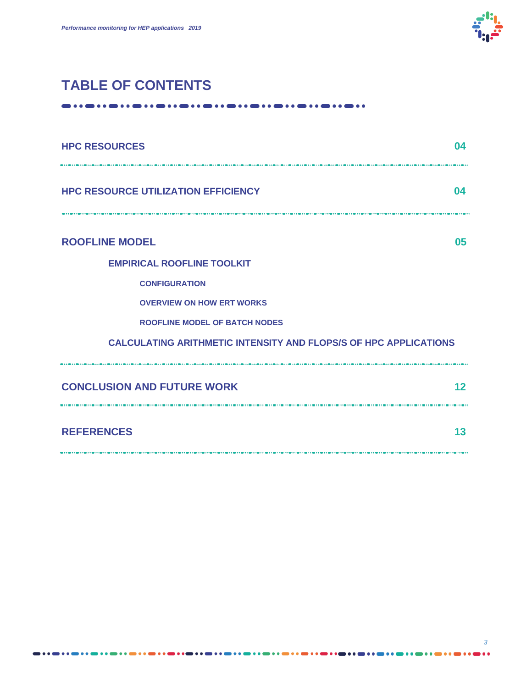

# **TABLE OF CONTENTS**

---------------------------. . . . . . . . . .

| <b>HPC RESOURCES</b>                                                    | 04              |
|-------------------------------------------------------------------------|-----------------|
| <b>HPC RESOURCE UTILIZATION EFFICIENCY</b>                              | $\mathbf{04}$   |
| <b>ROOFLINE MODEL</b>                                                   | 05              |
| <b>EMPIRICAL ROOFLINE TOOLKIT</b>                                       |                 |
| <b>CONFIGURATION</b>                                                    |                 |
| <b>OVERVIEW ON HOW ERT WORKS</b>                                        |                 |
| <b>ROOFLINE MODEL OF BATCH NODES</b>                                    |                 |
| <b>CALCULATING ARITHMETIC INTENSITY AND FLOPS/S OF HPC APPLICATIONS</b> |                 |
| <b>CONCLUSION AND FUTURE WORK</b>                                       | 12 <sup>2</sup> |
| <b>REFERENCES</b>                                                       | 13              |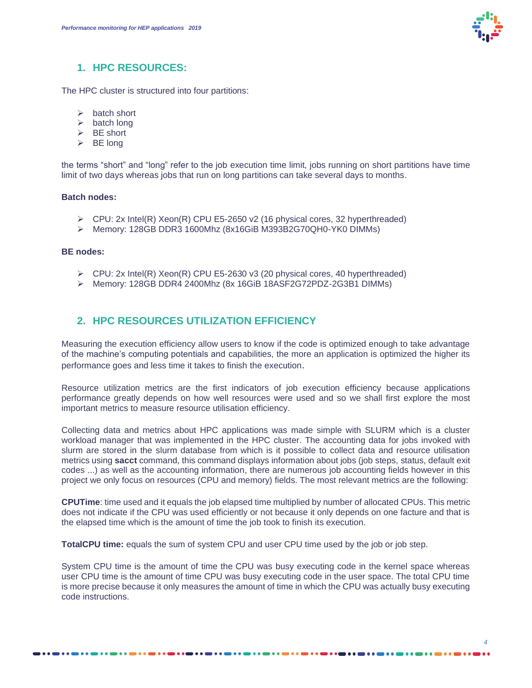

#### **1. HPC RESOURCES:**

The HPC cluster is structured into four partitions:

- ➢ batch short
- $\triangleright$  batch long
- $\triangleright$  BE short
- $\triangleright$  BE long

the terms "short" and "long" refer to the job execution time limit, jobs running on short partitions have time limit of two days whereas jobs that run on long partitions can take several days to months.

#### **Batch nodes:**

- ➢ CPU: 2x Intel(R) Xeon(R) CPU E5-2650 v2 (16 physical cores, 32 hyperthreaded)
- ➢ Memory: 128GB DDR3 1600Mhz (8x16GiB M393B2G70QH0-YK0 DIMMs)

#### **BE nodes:**

- $\triangleright$  CPU: 2x Intel(R) Xeon(R) CPU E5-2630 v3 (20 physical cores, 40 hyperthreaded)
- ➢ Memory: 128GB DDR4 2400Mhz (8x 16GiB 18ASF2G72PDZ-2G3B1 DIMMs)

## **2. HPC RESOURCES UTILIZATION EFFICIENCY**

-------------

Measuring the execution efficiency allow users to know if the code is optimized enough to take advantage of the machine's computing potentials and capabilities, the more an application is optimized the higher its performance goes and less time it takes to finish the execution.

Resource utilization metrics are the first indicators of job execution efficiency because applications performance greatly depends on how well resources were used and so we shall first explore the most important metrics to measure resource utilisation efficiency.

Collecting data and metrics about HPC applications was made simple with SLURM which is a cluster workload manager that was implemented in the HPC cluster. The accounting data for jobs invoked with slurm are stored in the slurm database from which is it possible to collect data and resource utilisation metrics using **sacct** command, this command displays information about jobs (job steps, status, default exit codes ...) as well as the accounting information, there are numerous job accounting fields however in this project we only focus on resources (CPU and memory) fields. The most relevant metrics are the following:

**CPUTime**: time used and it equals the job elapsed time multiplied by number of allocated CPUs. This metric does not indicate if the CPU was used efficiently or not because it only depends on one facture and that is the elapsed time which is the amount of time the job took to finish its execution.

**TotalCPU time:** equals the sum of system CPU and user CPU time used by the job or job step.

System CPU time is the amount of time the CPU was busy executing code in the kernel space whereas user CPU time is the amount of time CPU was busy executing code in the user space. The total CPU time is more precise because it only measures the amount of time in which the CPU was actually busy executing code instructions.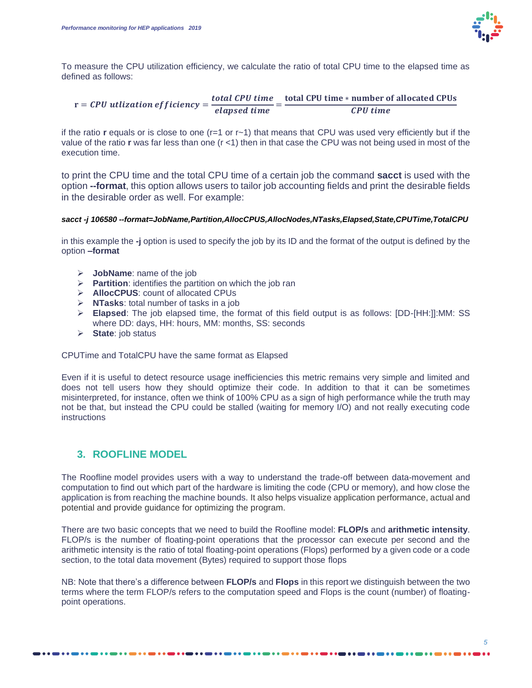

To measure the CPU utilization efficiency, we calculate the ratio of total CPU time to the elapsed time as defined as follows:

 $r = CPU$  utlization efficiency  $=$   $\frac{total$  CPU time  $=$  total CPU time  $*$  number of allocated CPUs<br>CPU time **CPU** time

if the ratio **r** equals or is close to one (r=1 or r~1) that means that CPU was used very efficiently but if the value of the ratio **r** was far less than one (r <1) then in that case the CPU was not being used in most of the execution time.

to print the CPU time and the total CPU time of a certain job the command **sacct** is used with the option **--format**, this option allows users to tailor job accounting fields and print the desirable fields in the desirable order as well. For example:

#### *sacct -j 106580 --format=JobName,Partition,AllocCPUS,AllocNodes,NTasks,Elapsed,State,CPUTime,TotalCPU*

in this example the **-j** option is used to specify the job by its ID and the format of the output is defined by the option **–format**

- ➢ **JobName**: name of the job
- ➢ **Partition**: identifies the partition on which the job ran
- ➢ **AllocCPUS**: count of allocated CPUs
- ➢ **NTasks**: total number of tasks in a job
- ➢ **Elapsed**: The job elapsed time, the format of this field output is as follows: [DD-[HH:]]:MM: SS where DD: days, HH: hours, MM: months, SS: seconds
- ➢ **State**: job status

CPUTime and TotalCPU have the same format as Elapsed

-------------

Even if it is useful to detect resource usage inefficiencies this metric remains very simple and limited and does not tell users how they should optimize their code. In addition to that it can be sometimes misinterpreted, for instance, often we think of 100% CPU as a sign of high performance while the truth may not be that, but instead the CPU could be stalled (waiting for memory I/O) and not really executing code instructions

## **3. ROOFLINE MODEL**

The Roofline model provides users with a way to understand the trade-off between data-movement and computation to find out which part of the hardware is limiting the code (CPU or memory), and how close the application is from reaching the machine bounds. It also helps visualize application performance, actual and potential and provide guidance for optimizing the program.

There are two basic concepts that we need to build the Roofline model: **FLOP/s** and **arithmetic intensity**. FLOP/s is the number of floating-point operations that the processor can execute per second and the arithmetic intensity is the ratio of total floating-point operations (Flops) performed by a given code or a code section, to the total data movement (Bytes) required to support those flops

NB: Note that there's a difference between **FLOP/s** and **Flops** in this report we distinguish between the two terms where the term FLOP/s refers to the computation speed and Flops is the count (number) of floatingpoint operations.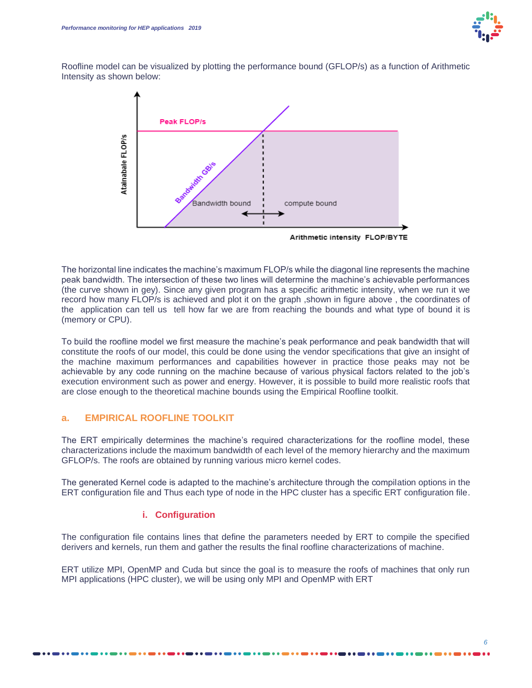

Roofline model can be visualized by plotting the performance bound (GFLOP/s) as a function of Arithmetic Intensity as shown below:



The horizontal line indicates the machine's maximum FLOP/s while the diagonal line represents the machine peak bandwidth. The intersection of these two lines will determine the machine's achievable performances (the curve shown in gey). Since any given program has a specific arithmetic intensity, when we run it we record how many FLOP/s is achieved and plot it on the graph ,shown in figure above , the coordinates of the application can tell us tell how far we are from reaching the bounds and what type of bound it is (memory or CPU).

To build the roofline model we first measure the machine's peak performance and peak bandwidth that will constitute the roofs of our model, this could be done using the vendor specifications that give an insight of the machine maximum performances and capabilities however in practice those peaks may not be achievable by any code running on the machine because of various physical factors related to the job's execution environment such as power and energy. However, it is possible to build more realistic roofs that are close enough to the theoretical machine bounds using the Empirical Roofline toolkit.

#### **a. EMPIRICAL ROOFLINE TOOLKIT**

The ERT empirically determines the machine's required characterizations for the roofline model, these characterizations include the maximum bandwidth of each level of the memory hierarchy and the maximum GFLOP/s. The roofs are obtained by running various micro kernel codes.

The generated Kernel code is adapted to the machine's architecture through the compilation options in the ERT configuration file and Thus each type of node in the HPC cluster has a specific ERT configuration file.

#### **i. Configuration**

The configuration file contains lines that define the parameters needed by ERT to compile the specified derivers and kernels, run them and gather the results the final roofline characterizations of machine.

ERT utilize MPI, OpenMP and Cuda but since the goal is to measure the roofs of machines that only run MPI applications (HPC cluster), we will be using only MPI and OpenMP with ERT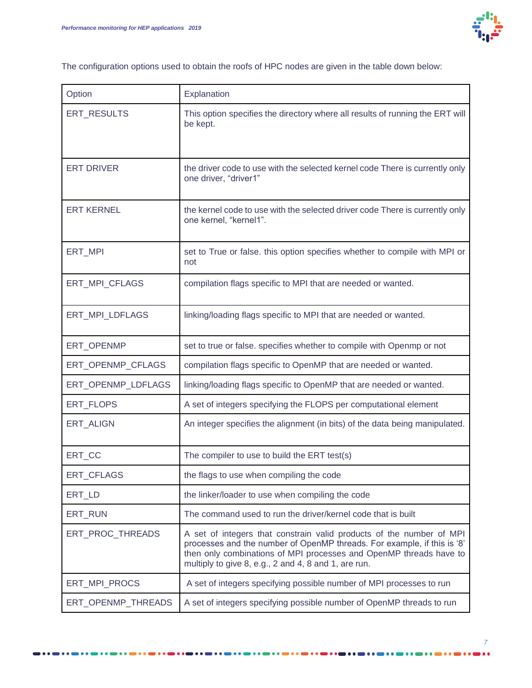

The configuration options used to obtain the roofs of HPC nodes are given in the table down below:

| Option             | Explanation                                                                                                                                                                                                                                                                   |
|--------------------|-------------------------------------------------------------------------------------------------------------------------------------------------------------------------------------------------------------------------------------------------------------------------------|
| ERT RESULTS        | This option specifies the directory where all results of running the ERT will<br>be kept.                                                                                                                                                                                     |
| <b>ERT DRIVER</b>  | the driver code to use with the selected kernel code There is currently only<br>one driver, "driver1"                                                                                                                                                                         |
| <b>ERT KERNEL</b>  | the kernel code to use with the selected driver code There is currently only<br>one kernel, "kernel1".                                                                                                                                                                        |
| ERT_MPI            | set to True or false. this option specifies whether to compile with MPI or<br>not                                                                                                                                                                                             |
| ERT_MPI_CFLAGS     | compilation flags specific to MPI that are needed or wanted.                                                                                                                                                                                                                  |
| ERT_MPI_LDFLAGS    | linking/loading flags specific to MPI that are needed or wanted.                                                                                                                                                                                                              |
| ERT_OPENMP         | set to true or false. specifies whether to compile with Openmp or not                                                                                                                                                                                                         |
| ERT_OPENMP_CFLAGS  | compilation flags specific to OpenMP that are needed or wanted.                                                                                                                                                                                                               |
| ERT_OPENMP_LDFLAGS | linking/loading flags specific to OpenMP that are needed or wanted.                                                                                                                                                                                                           |
| ERT_FLOPS          | A set of integers specifying the FLOPS per computational element                                                                                                                                                                                                              |
| <b>ERT ALIGN</b>   | An integer specifies the alignment (in bits) of the data being manipulated.                                                                                                                                                                                                   |
| ERT_CC             | The compiler to use to build the ERT test(s)                                                                                                                                                                                                                                  |
| ERT_CFLAGS         | the flags to use when compiling the code                                                                                                                                                                                                                                      |
| ERT_LD             | the linker/loader to use when compiling the code                                                                                                                                                                                                                              |
| ERT RUN            | The command used to run the driver/kernel code that is built                                                                                                                                                                                                                  |
| ERT_PROC_THREADS   | A set of integers that constrain valid products of the number of MPI<br>processes and the number of OpenMP threads. For example, if this is '8'<br>then only combinations of MPI processes and OpenMP threads have to<br>multiply to give 8, e.g., 2 and 4, 8 and 1, are run. |
| ERT MPI PROCS      | A set of integers specifying possible number of MPI processes to run                                                                                                                                                                                                          |
| ERT_OPENMP_THREADS | A set of integers specifying possible number of OpenMP threads to run                                                                                                                                                                                                         |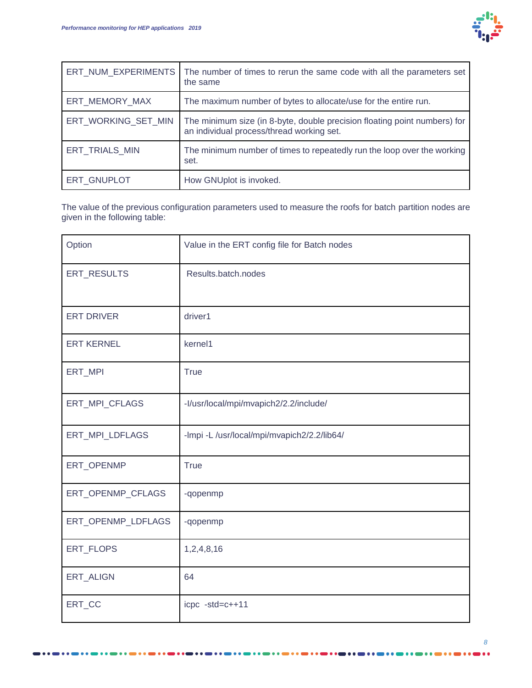

| ERT_NUM_EXPERIMENTS | The number of times to rerun the same code with all the parameters set<br>the same                                     |
|---------------------|------------------------------------------------------------------------------------------------------------------------|
| ERT MEMORY MAX      | The maximum number of bytes to allocate/use for the entire run.                                                        |
| ERT_WORKING_SET_MIN | The minimum size (in 8-byte, double precision floating point numbers) for<br>an individual process/thread working set. |
| ERT_TRIALS_MIN      | The minimum number of times to repeatedly run the loop over the working<br>set.                                        |
| ERT_GNUPLOT         | How GNUplot is invoked.                                                                                                |

The value of the previous configuration parameters used to measure the roofs for batch partition nodes are given in the following table:

| Option             | Value in the ERT config file for Batch nodes |
|--------------------|----------------------------------------------|
| ERT_RESULTS        | Results.batch.nodes                          |
| <b>ERT DRIVER</b>  | driver1                                      |
| <b>ERT KERNEL</b>  | kernel1                                      |
| ERT_MPI            | <b>True</b>                                  |
| ERT_MPI_CFLAGS     | -I/usr/local/mpi/mvapich2/2.2/include/       |
| ERT_MPI_LDFLAGS    | -Impi -L /usr/local/mpi/mvapich2/2.2/lib64/  |
| ERT_OPENMP         | <b>True</b>                                  |
| ERT_OPENMP_CFLAGS  | -qopenmp                                     |
| ERT_OPENMP_LDFLAGS | -qopenmp                                     |
| ERT_FLOPS          | 1,2,4,8,16                                   |
| ERT_ALIGN          | 64                                           |
| ERT_CC             | icpc -std=c++11                              |

...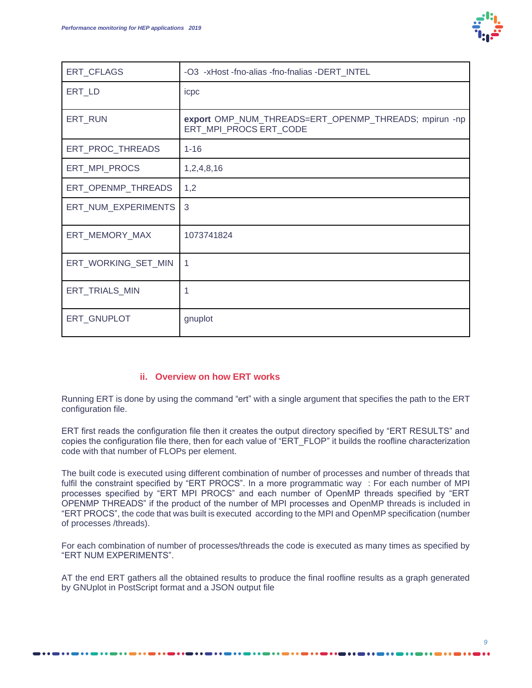

| ERT_CFLAGS          | -O3 -xHost -fno-alias -fno-fnalias -DERT_INTEL                                  |
|---------------------|---------------------------------------------------------------------------------|
| ERT_LD              | icpc                                                                            |
| ERT_RUN             | export OMP_NUM_THREADS=ERT_OPENMP_THREADS; mpirun -np<br>ERT_MPI_PROCS ERT_CODE |
| ERT_PROC_THREADS    | $1 - 16$                                                                        |
| ERT_MPI_PROCS       | 1,2,4,8,16                                                                      |
| ERT_OPENMP_THREADS  | 1,2                                                                             |
| ERT_NUM_EXPERIMENTS | 3                                                                               |
| ERT_MEMORY_MAX      | 1073741824                                                                      |
| ERT_WORKING_SET_MIN | 1                                                                               |
| ERT_TRIALS_MIN      |                                                                                 |
| ERT_GNUPLOT         | gnuplot                                                                         |

#### **ii. Overview on how ERT works**

Running ERT is done by using the command "ert" with a single argument that specifies the path to the ERT configuration file.

ERT first reads the configuration file then it creates the output directory specified by "ERT RESULTS" and copies the configuration file there, then for each value of "ERT\_FLOP" it builds the roofline characterization code with that number of FLOPs per element.

The built code is executed using different combination of number of processes and number of threads that fulfil the constraint specified by "ERT PROCS". In a more programmatic way : For each number of MPI processes specified by "ERT MPI PROCS" and each number of OpenMP threads specified by "ERT OPENMP THREADS" if the product of the number of MPI processes and OpenMP threads is included in "ERT PROCS", the code that was built is executed according to the MPI and OpenMP specification (number of processes /threads).

For each combination of number of processes/threads the code is executed as many times as specified by "ERT NUM EXPERIMENTS".

AT the end ERT gathers all the obtained results to produce the final roofline results as a graph generated by GNUplot in PostScript format and a JSON output file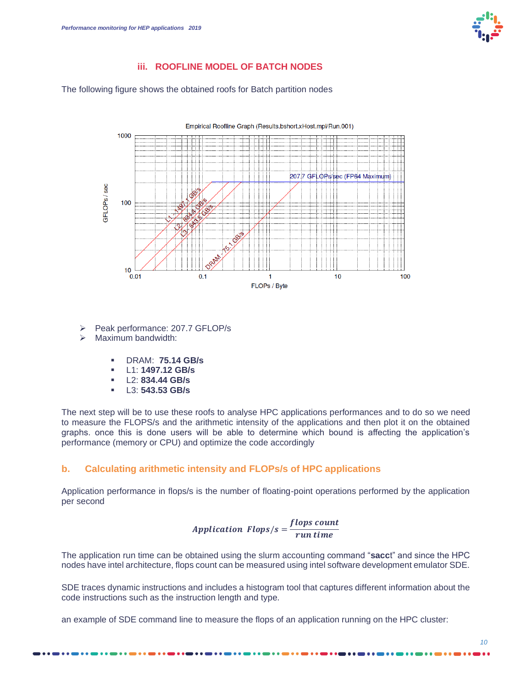

#### **iii. ROOFLINE MODEL OF BATCH NODES**

The following figure shows the obtained roofs for Batch partition nodes



- ➢ Peak performance: 207.7 GFLOP/s
- Maximum bandwidth:
	- DRAM: **75.14 GB/s**
	- L1: **1497.12 GB/s**
	- L2: **834.44 GB/s**
	- L3: **543.53 GB/s**

The next step will be to use these roofs to analyse HPC applications performances and to do so we need to measure the FLOPS/s and the arithmetic intensity of the applications and then plot it on the obtained graphs. once this is done users will be able to determine which bound is affecting the application's performance (memory or CPU) and optimize the code accordingly

#### **b. Calculating arithmetic intensity and FLOPs/s of HPC applications**

Application performance in flops/s is the number of floating-point operations performed by the application per second

> *Application Flops/s* =  $\frac{flops\ count}{flong\ time}$ run time

The application run time can be obtained using the slurm accounting command "**sacc**t" and since the HPC nodes have intel architecture, flops count can be measured using intel software development emulator SDE.

SDE traces dynamic instructions and includes a histogram tool that captures different information about the code instructions such as the instruction length and type.

an example of SDE command line to measure the flops of an application running on the HPC cluster: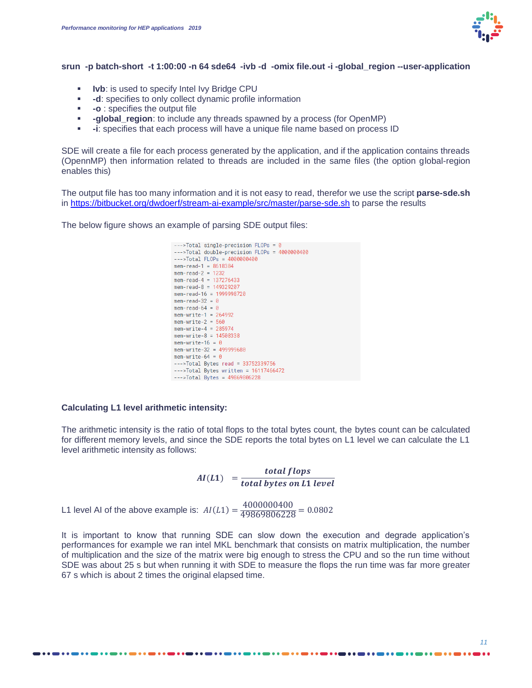

#### **srun -p batch-short -t 1:00:00 -n 64 sde64 -ivb -d -omix file.out -i -global\_region --user-application**

- **EXECT:** Ivb: is used to specify Intel Ivy Bridge CPU
- **-d**: specifies to only collect dynamic profile information
- **-o** : specifies the output file
- **-global\_region**: to include any threads spawned by a process (for OpenMP)
- **-i**: specifies that each process will have a unique file name based on process ID

SDE will create a file for each process generated by the application, and if the application contains threads (OpennMP) then information related to threads are included in the same files (the option global-region enables this)

The output file has too many information and it is not easy to read, therefor we use the script **parse-sde.sh** in<https://bitbucket.org/dwdoerf/stream-ai-example/src/master/parse-sde.sh> to parse the results

The below figure shows an example of parsing SDE output files:



#### **Calculating L1 level arithmetic intensity:**

The arithmetic intensity is the ratio of total flops to the total bytes count, the bytes count can be calculated for different memory levels, and since the SDE reports the total bytes on L1 level we can calculate the L1 level arithmetic intensity as follows:

> $AI(L1) = \frac{total flops}{t + t}$ total bytes on L1 level

L1 level AI of the above example is:  $AI(L1) = \frac{4000000400}{49869806228} = 0.0802$ 

----------

It is important to know that running SDE can slow down the execution and degrade application's performances for example we ran intel MKL benchmark that consists on matrix multiplication, the number of multiplication and the size of the matrix were big enough to stress the CPU and so the run time without SDE was about 25 s but when running it with SDE to measure the flops the run time was far more greater 67 s which is about 2 times the original elapsed time.

. . . **. . . . . . . . . .** . .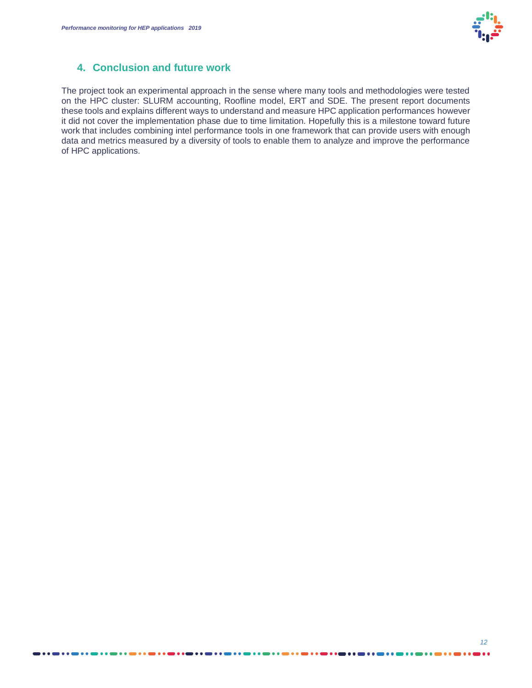

## **4. Conclusion and future work**

The project took an experimental approach in the sense where many tools and methodologies were tested on the HPC cluster: SLURM accounting, Roofline model, ERT and SDE. The present report documents these tools and explains different ways to understand and measure HPC application performances however it did not cover the implementation phase due to time limitation. Hopefully this is a milestone toward future work that includes combining intel performance tools in one framework that can provide users with enough data and metrics measured by a diversity of tools to enable them to analyze and improve the performance of HPC applications.